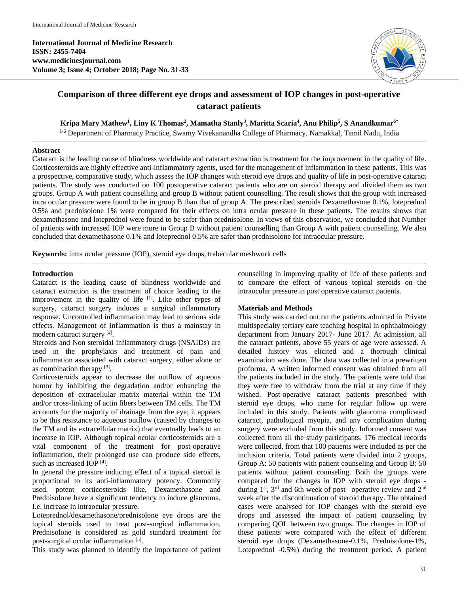**International Journal of Medicine Research ISSN: 2455-7404 www.medicinesjournal.com Volume 3; Issue 4; October 2018; Page No. 31-33**



# **Comparison of three different eye drops and assessment of IOP changes in post-operative cataract patients**

 $\mathbf{K}$ ripa Mary Mathew<sup>1</sup>, Liny  $\mathbf{K}$  Thomas<sup>2</sup>, Mamatha Stanly<sup>3</sup>, Maritta Scaria<sup>4</sup>, Anu Philip<sup>5</sup>, S Anandkumar $^{6^*}$ 

1-6 Department of Pharmacy Practice, Swamy Vivekanandha College of Pharmacy, Namakkal, Tamil Nadu, India

#### **Abstract**

Cataract is the leading cause of blindness worldwide and cataract extraction is treatment for the improvement in the quality of life. Corticosteroids are highly effective anti-inflammatory agents, used for the management of inflammation in these patients. This was a prospective, comparative study, which assess the IOP changes with steroid eye drops and quality of life in post-operative cataract patients. The study was conducted on 100 postoperative cataract patients who are on steroid therapy and divided them as two groups. Group A with patient counselling and group B without patient counselling. The result shows that the group with increased intra ocular pressure were found to be in group B than that of group A. The prescribed steroids Dexamethasone 0.1%, loteprednol 0.5% and prednisolone 1% were compared for their effects on intra ocular pressure in these patients. The results shows that dexamethasone and loteprednol were found to be safer than prednisolone. In views of this observation, we concluded that Number of patients with increased IOP were more in Group B without patient counselling than Group A with patient counselling. We also concluded that dexamethasone 0.1% and loteprednol 0.5% are safer than prednisolone for intraocular pressure.

**Keywords:** intra ocular pressure (IOP), steroid eye drops, trabecular meshwork cells

## **Introduction**

Cataract is the leading cause of blindness worldwide and cataract extraction is the treatment of choice leading to the improvement in the quality of life  $[1]$ . Like other types of surgery, cataract surgery induces a surgical inflammatory response. Uncontrolled inflammation may lead to serious side effects. Management of inflammation is thus a mainstay in modern cataract surgery [2].

Steroids and Non steroidal inflammatory drugs (NSAIDs) are used in the prophylaxis and treatment of pain and inflammation associated with cataract surgery, either alone or as combination therapy [3].

Corticosteroids appear to decrease the outflow of aqueous humor by inhibiting the degradation and/or enhancing the deposition of extracellular matrix material within the TM and/or cross-linking of actin fibers between TM cells. The TM accounts for the majority of drainage from the eye; it appears to be this resistance to aqueous outflow (caused by changes to the TM and its extracellular matrix) that eventually leads to an increase in IOP. Although topical ocular corticosteroids are a vital component of the treatment for post-operative inflammation, their prolonged use can produce side effects, such as increased  $IOP<sup>[4]</sup>$ .

In general the pressure inducing effect of a topical steroid is proportional to its anti-inflammatory potency. Commonly used, potent corticosteroids like, Dexamethasone and Prednisolone have a significant tendency to induce glaucoma. I.e. increase in intraocular pressure.

Loteprednol/dexamethasone/prednisolone eye drops are the topical steroids used to treat post-surgical inflammation. Prednisolone is considered as gold standard treatment for post-surgical ocular inflammation [5].

This study was planned to identify the importance of patient

counselling in improving quality of life of these patients and to compare the effect of various topical steroids on the intraocular pressure in post operative cataract patients.

#### **Materials and Methods**

This study was carried out on the patients admitted in Private multispecialty tertiary care teaching hospital in ophthalmology department from January 2017- June 2017. At admission, all the cataract patients, above 55 years of age were assessed. A detailed history was elicited and a thorough clinical examination was done. The data was collected in a prewritten proforma. A written informed consent was obtained from all the patients included in the study. The patients were told that they were free to withdraw from the trial at any time if they wished. Post-operative cataract patients prescribed with steroid eye drops, who came for regular follow up were included in this study. Patients with glaucoma complicated cataract, pathological myopia, and any complication during surgery were excluded from this study. Informed consent was collected from all the study participants. 176 medical records were collected, from that 100 patients were included as per the inclusion criteria. Total patients were divided into 2 groups, Group A: 50 patients with patient counseling and Group B: 50 patients without patient counseling. Both the groups were compared for the changes in IOP with steroid eye drops during 1<sup>st</sup>, 3<sup>rd</sup> and 6th week of post –operative review and 2<sup>nd</sup> week after the discontinuation of steroid therapy. The obtained cases were analysed for IOP changes with the steroid eye drops and assessed the impact of patient counseling by comparing QOL between two groups. The changes in IOP of these patients were compared with the effect of different steroid eye drops (Dexamethasone-0.1%, Prednisolone-1%, Loteprednol -0.5%) during the treatment period. A patient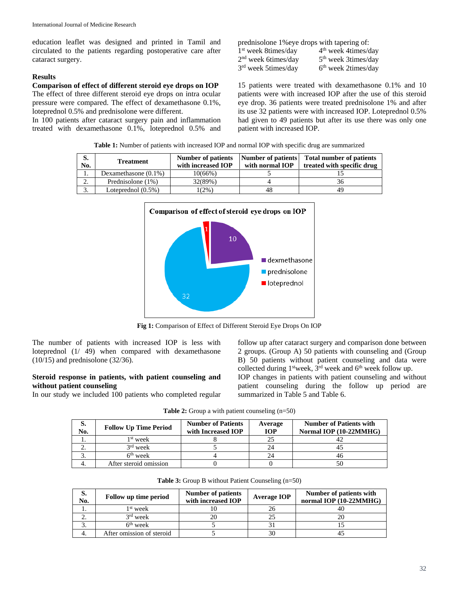education leaflet was designed and printed in Tamil and circulated to the patients regarding postoperative care after cataract surgery.

#### **Results**

#### **Comparison of effect of different steroid eye drops on IOP**

The effect of three different steroid eye drops on intra ocular pressure were compared. The effect of dexamethasone 0.1%, loteprednol 0.5% and prednisolone were different.

In 100 patients after cataract surgery pain and inflammation treated with dexamethasone 0.1%, loteprednol 0.5% and prednisolone 1% eye drops with tapering of:<br> $1<sup>st</sup>$  week 8times/day  $4<sup>th</sup>$  week 4times/day  $1<sup>st</sup>$  week 8times/day  $2<sup>nd</sup>$  week 6times/day  $3<sup>rd</sup>$  week 5times/day  $3<sup>rd</sup>$  week 2times/day  $3<sup>rd</sup>$  week 5times/day

15 patients were treated with dexamethasone 0.1% and 10 patients were with increased IOP after the use of this steroid eye drop. 36 patients were treated prednisolone 1% and after its use 32 patients were with increased IOP. Loteprednol 0.5% had given to 49 patients but after its use there was only one patient with increased IOP.

| <b>Table 1:</b> Number of patients with increased IOP and normal IOP with specific drug are summarized |  |
|--------------------------------------------------------------------------------------------------------|--|
|                                                                                                        |  |

| S.<br>No. | <b>Treatment</b>        | <b>Number of patients</b><br>with increased IOP | Number of patients<br>with normal IOP | <b>Total number of patients</b><br>treated with specific drug |
|-----------|-------------------------|-------------------------------------------------|---------------------------------------|---------------------------------------------------------------|
| .,        | Dexamethasone $(0.1\%)$ | 10(66%)                                         |                                       |                                                               |
| ۷.        | Prednisolone (1%)       | 32(89%)                                         |                                       |                                                               |
| . د       | Loteprednol $(0.5\%)$   | (2%)                                            | 48                                    | 49                                                            |



**Fig 1:** Comparison of Effect of Different Steroid Eye Drops On IOP

The number of patients with increased IOP is less with loteprednol (1/ 49) when compared with dexamethasone (10/15) and prednisolone (32/36).

## **Steroid response in patients, with patient counseling and without patient counseling**

In our study we included 100 patients who completed regular

follow up after cataract surgery and comparison done between 2 groups. (Group A) 50 patients with counseling and (Group B) 50 patients without patient counseling and data were collected during  $1^{\text{st}}$  week,  $3^{\text{rd}}$  week and  $6^{\text{th}}$  week follow up. IOP changes in patients with patient counseling and without patient counseling during the follow up period are summarized in Table 5 and Table 6.

| <b>Table 2:</b> Group a with patient counseling $(n=50)$ |  |  |  |
|----------------------------------------------------------|--|--|--|
|----------------------------------------------------------|--|--|--|

| S.<br>No. | <b>Follow Up Time Period</b> | <b>Number of Patients</b><br>with Increased IOP | Average<br><b>IOP</b> | <b>Number of Patients with</b><br>Normal IOP (10-22MMHG) |
|-----------|------------------------------|-------------------------------------------------|-----------------------|----------------------------------------------------------|
|           | 1 <sup>st</sup> week         |                                                 |                       |                                                          |
|           | $3rd$ week                   |                                                 |                       |                                                          |
|           | $6th$ week                   |                                                 |                       |                                                          |
|           | After steroid omission       |                                                 |                       |                                                          |

|  |  | Table 3: Group B without Patient Counseling (n=50) |  |
|--|--|----------------------------------------------------|--|
|  |  |                                                    |  |

| d.<br>No. | Follow up time period     | <b>Number of patients</b><br>with increased IOP | Average IOP | Number of patients with<br>normal IOP (10-22MMHG) |
|-----------|---------------------------|-------------------------------------------------|-------------|---------------------------------------------------|
|           | $1st$ week                |                                                 |             |                                                   |
|           | $3rd$ week                |                                                 |             |                                                   |
|           | $6th$ week                |                                                 |             |                                                   |
|           | After omission of steroid |                                                 |             |                                                   |